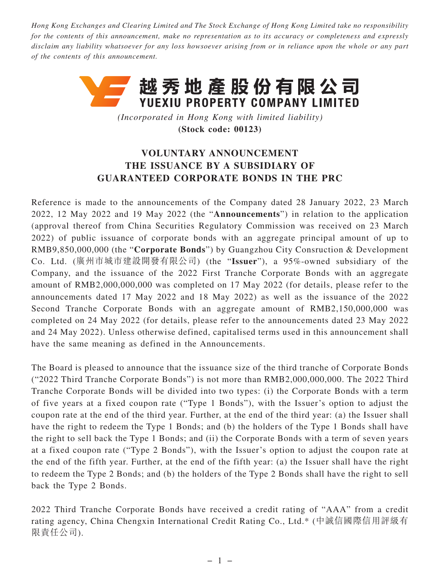*Hong Kong Exchanges and Clearing Limited and The Stock Exchange of Hong Kong Limited take no responsibility for the contents of this announcement, make no representation as to its accuracy or completeness and expressly disclaim any liability whatsoever for any loss howsoever arising from or in reliance upon the whole or any part of the contents of this announcement.*



*(Incorporated in Hong Kong with limited liability)* **(Stock code: 00123)**

## **VOLUNTARY ANNOUNCEMENT THE ISSUANCE BY A SUBSIDIARY OF GUARANTEED CORPORATE BONDS IN THE PRC**

Reference is made to the announcements of the Company dated 28 January 2022, 23 March 2022, 12 May 2022 and 19 May 2022 (the "**Announcements**") in relation to the application (approval thereof from China Securities Regulatory Commission was received on 23 March 2022) of public issuance of corporate bonds with an aggregate principal amount of up to RMB9,850,000,000 (the "**Corporate Bonds**") by Guangzhou City Consruction & Development Co. Ltd. (廣州市城市建設開發有限公司) (the "**Issuer**"), a 95%-owned subsidiary of the Company, and the issuance of the 2022 First Tranche Corporate Bonds with an aggregate amount of RMB2,000,000,000 was completed on 17 May 2022 (for details, please refer to the announcements dated 17 May 2022 and 18 May 2022) as well as the issuance of the 2022 Second Tranche Corporate Bonds with an aggregate amount of RMB2,150,000,000 was completed on 24 May 2022 (for details, please refer to the announcements dated 23 May 2022 and 24 May 2022). Unless otherwise defined, capitalised terms used in this announcement shall have the same meaning as defined in the Announcements.

The Board is pleased to announce that the issuance size of the third tranche of Corporate Bonds ("2022 Third Tranche Corporate Bonds") is not more than RMB2,000,000,000. The 2022 Third Tranche Corporate Bonds will be divided into two types: (i) the Corporate Bonds with a term of five years at a fixed coupon rate ("Type 1 Bonds"), with the Issuer's option to adjust the coupon rate at the end of the third year. Further, at the end of the third year: (a) the Issuer shall have the right to redeem the Type 1 Bonds; and (b) the holders of the Type 1 Bonds shall have the right to sell back the Type 1 Bonds; and (ii) the Corporate Bonds with a term of seven years at a fixed coupon rate ("Type 2 Bonds"), with the Issuer's option to adjust the coupon rate at the end of the fifth year. Further, at the end of the fifth year: (a) the Issuer shall have the right to redeem the Type 2 Bonds; and (b) the holders of the Type 2 Bonds shall have the right to sell back the Type 2 Bonds.

2022 Third Tranche Corporate Bonds have received a credit rating of "AAA" from a credit rating agency, China Chengxin International Credit Rating Co., Ltd.\* (中誠信國際信用評級有 限責任公司).